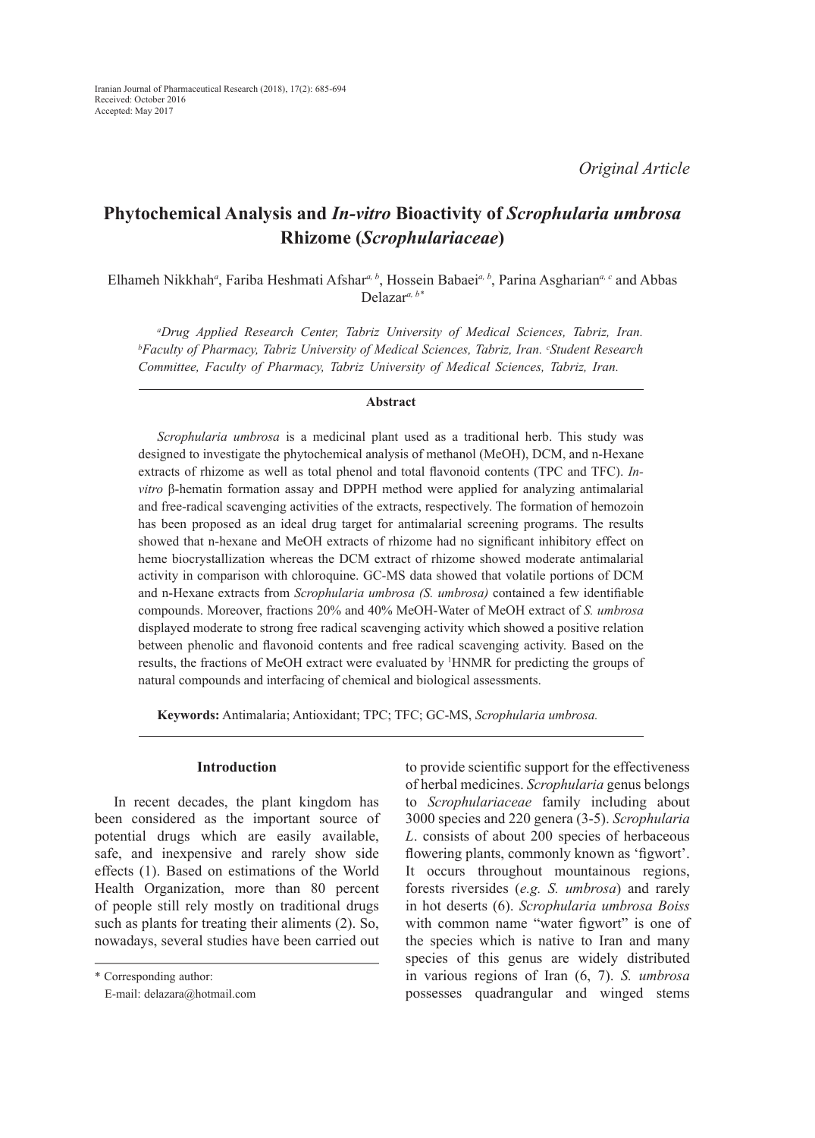# **Phytochemical Analysis and** *In-vitro* **Bioactivity of** *Scrophularia umbrosa*  **Rhizome (***Scrophulariaceae***)**

Elhameh Nikkhah*<sup>a</sup>* , Fariba Heshmati Afshar*a, b*, Hossein Babaei*a, b*, Parina Asgharian*a, c* and Abbas Delazar*a, b\**

*a Drug Applied Research Center, Tabriz University of Medical Sciences, Tabriz, Iran. b Faculty of Pharmacy, Tabriz University of Medical Sciences, Tabriz, Iran. c Student Research Committee, Faculty of Pharmacy, Tabriz University of Medical Sciences, Tabriz, Iran.*

#### **Abstract**

*Scrophularia umbrosa* is a medicinal plant used as a traditional herb. This study was designed to investigate the phytochemical analysis of methanol (MeOH), DCM, and n-Hexane extracts of rhizome as well as total phenol and total flavonoid contents (TPC and TFC). *Invitro* β-hematin formation assay and DPPH method were applied for analyzing antimalarial and free-radical scavenging activities of the extracts, respectively. The formation of hemozoin has been proposed as an ideal drug target for antimalarial screening programs. The results showed that n-hexane and MeOH extracts of rhizome had no significant inhibitory effect on heme biocrystallization whereas the DCM extract of rhizome showed moderate antimalarial activity in comparison with chloroquine. GC-MS data showed that volatile portions of DCM and n-Hexane extracts from *Scrophularia umbrosa (S. umbrosa)* contained a few identifiable compounds. Moreover, fractions 20% and 40% MeOH-Water of MeOH extract of *S. umbrosa* displayed moderate to strong free radical scavenging activity which showed a positive relation between phenolic and flavonoid contents and free radical scavenging activity. Based on the results, the fractions of MeOH extract were evaluated by 1 HNMR for predicting the groups of natural compounds and interfacing of chemical and biological assessments.

**Keywords:** Antimalaria; Antioxidant; TPC; TFC; GC-MS, *Scrophularia umbrosa.*

# **Introduction**

In recent decades, the plant kingdom has been considered as the important source of potential drugs which are easily available, safe, and inexpensive and rarely show side effects (1). Based on estimations of the World Health Organization, more than 80 percent of people still rely mostly on traditional drugs such as plants for treating their aliments (2). So, nowadays, several studies have been carried out to provide scientific support for the effectiveness of herbal medicines. *Scrophularia* genus belongs to *Scrophulariaceae* family including about 3000 species and 220 genera (3-5). *Scrophularia L*. consists of about 200 species of herbaceous flowering plants, commonly known as 'figwort'. It occurs throughout mountainous regions, forests riversides (*e.g. S. umbrosa*) and rarely in hot deserts (6). *Scrophularia umbrosa Boiss* with common name "water figwort" is one of the species which is native to Iran and many species of this genus are widely distributed in various regions of Iran (6, 7). *S. umbrosa* possesses quadrangular and winged stems

<sup>\*</sup> Corresponding author:

E-mail: delazara@hotmail.com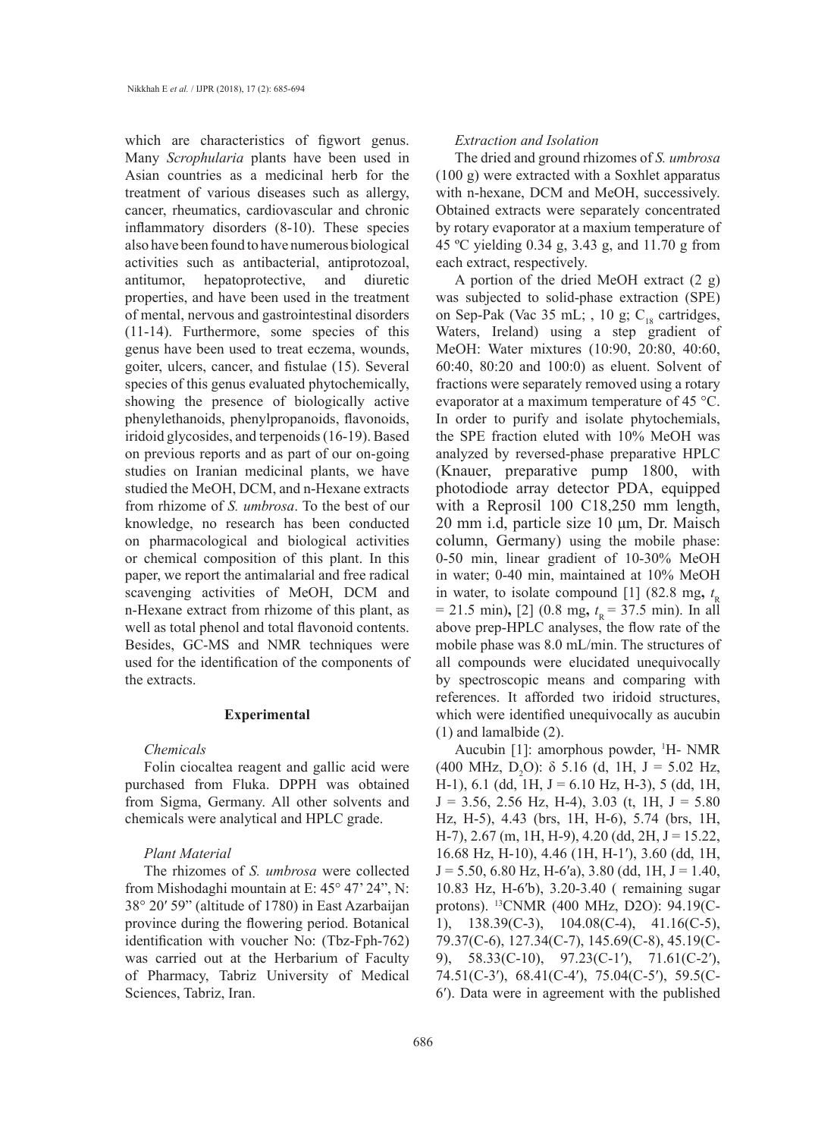which are characteristics of figwort genus. Many *Scrophularia* plants have been used in Asian countries as a medicinal herb for the treatment of various diseases such as allergy, cancer, rheumatics, cardiovascular and chronic inflammatory disorders (8-10). These species also have been found to have numerous biological activities such as antibacterial, antiprotozoal, antitumor, hepatoprotective, and diuretic properties, and have been used in the treatment of mental, nervous and gastrointestinal disorders (11-14). Furthermore, some species of this genus have been used to treat eczema, wounds, goiter, ulcers, cancer, and fistulae (15). Several species of this genus evaluated phytochemically, showing the presence of biologically active phenylethanoids, phenylpropanoids, flavonoids, iridoid glycosides, and terpenoids (16-19). Based on previous reports and as part of our on-going studies on Iranian medicinal plants, we have studied the MeOH, DCM, and n-Hexane extracts from rhizome of *S. umbrosa*. To the best of our knowledge, no research has been conducted on pharmacological and biological activities or chemical composition of this plant. In this paper, we report the antimalarial and free radical scavenging activities of MeOH, DCM and n-Hexane extract from rhizome of this plant, as well as total phenol and total flavonoid contents. Besides, GC-MS and NMR techniques were used for the identification of the components of the extracts.

## **Experimental**

### *Chemicals*

Folin ciocaltea reagent and gallic acid were purchased from Fluka. DPPH was obtained from Sigma, Germany. All other solvents and chemicals were analytical and HPLC grade.

# *Plant Material*

The rhizomes of *S. umbrosa* were collected from Mishodaghi mountain at E: 45° 47' 24", N: 38° 20ʹ 59" (altitude of 1780) in East Azarbaijan province during the flowering period. Botanical identification with voucher No: (Tbz-Fph-762) was carried out at the Herbarium of Faculty of Pharmacy, Tabriz University of Medical Sciences, Tabriz, Iran.

## *Extraction and Isolation*

The dried and ground rhizomes of *S. umbrosa* (100 g) were extracted with a Soxhlet apparatus with n-hexane, DCM and MeOH, successively. Obtained extracts were separately concentrated by rotary evaporator at a maxium temperature of 45 ºC yielding 0.34 g, 3.43 g, and 11.70 g from each extract, respectively.

A portion of the dried MeOH extract (2 g) was subjected to solid-phase extraction (SPE) on Sep-Pak (Vac 35 mL; , 10 g;  $C_{18}$  cartridges, Waters, Ireland) using a step gradient of MeOH: Water mixtures (10:90, 20:80, 40:60, 60:40, 80:20 and 100:0) as eluent. Solvent of fractions were separately removed using a rotary evaporator at a maximum temperature of 45 °C. In order to purify and isolate phytochemials, the SPE fraction eluted with 10% MeOH was analyzed by reversed-phase preparative HPLC (Knauer, preparative pump 1800, with photodiode array detector PDA, equipped with a Reprosil 100 C18,250 mm length, 20 mm i.d, particle size 10 μm, Dr. Maisch column, Germany) using the mobile phase: 0-50 min, linear gradient of 10-30% MeOH in water; 0-40 min, maintained at 10% MeOH in water, to isolate compound [1] (82.8 mg,  $t<sub>R</sub>$  $= 21.5$  min), [2] (0.8 mg,  $t<sub>R</sub> = 37.5$  min). In all above prep-HPLC analyses, the flow rate of the mobile phase was 8.0 mL/min. The structures of all compounds were elucidated unequivocally by spectroscopic means and comparing with references. It afforded two iridoid structures, which were identified unequivocally as aucubin (1) and lamalbide (2).

Aucubin [1]: amorphous powder, <sup>1</sup>H- NMR  $(400 \text{ MHz}, \text{ D}_2\text{O})$ :  $\delta$  5.16 (d, 1H, J = 5.02 Hz, H-1), 6.1 (dd, 1H,  $J = 6.10$  Hz, H-3), 5 (dd, 1H,  $J = 3.56, 2.56$  Hz, H-4), 3.03 (t, 1H,  $J = 5.80$ Hz, H-5), 4.43 (brs, 1H, H-6), 5.74 (brs, 1H, H-7), 2.67 (m, 1H, H-9), 4.20 (dd, 2H, J = 15.22, 16.68 Hz, H-10), 4.46 (1H, H-1ʹ), 3.60 (dd, 1H,  $J = 5.50, 6.80$  Hz, H-6'a), 3.80 (dd, 1H,  $J = 1.40$ , 10.83 Hz, H-6ʹb), 3.20-3.40 ( remaining sugar protons). 13CNMR (400 MHz, D2O): 94.19(C-1), 138.39(C-3), 104.08(C-4), 41.16(C-5), 79.37(C-6), 127.34(C-7), 145.69(C-8), 45.19(C-9), 58.33(C-10), 97.23(C-1ʹ), 71.61(C-2ʹ), 74.51(C-3ʹ), 68.41(C-4ʹ), 75.04(C-5ʹ), 59.5(C-6ʹ). Data were in agreement with the published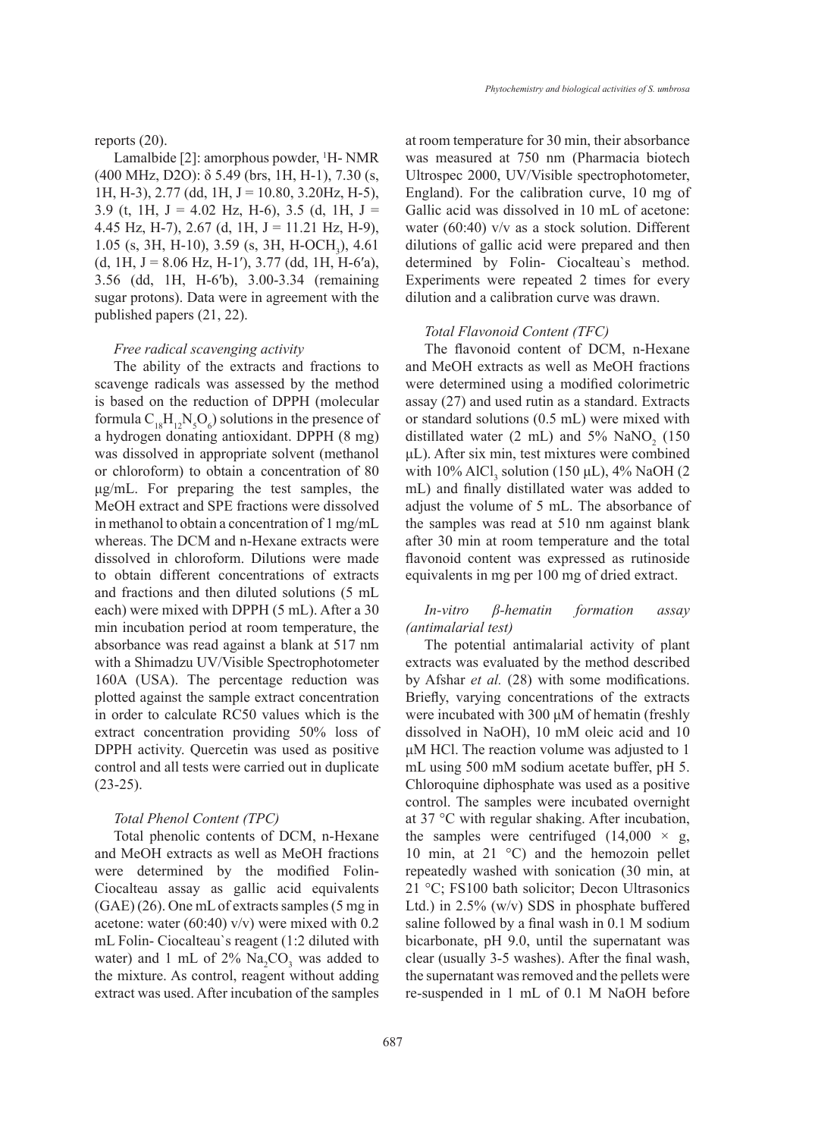#### reports (20).

Lamalbide [2]: amorphous powder, <sup>1</sup>H- NMR (400 MHz, D2O): δ 5.49 (brs, 1H, H-1), 7.30 (s, 1H, H-3), 2.77 (dd, 1H, J = 10.80, 3.20Hz, H-5), 3.9 (t, 1H,  $J = 4.02$  Hz, H-6), 3.5 (d, 1H,  $J =$ 4.45 Hz, H-7), 2.67 (d, 1H, J = 11.21 Hz, H-9),  $1.05$  (s, 3H, H-10), 3.59 (s, 3H, H-OCH<sub>3</sub>), 4.61  $(d, 1H, J = 8.06 Hz, H-1<sup>'</sup>), 3.77 (dd, 1H, H-6<sup>'</sup>a),$ 3.56 (dd, 1H, H-6ʹb), 3.00-3.34 (remaining sugar protons). Data were in agreement with the published papers (21, 22).

#### *Free radical scavenging activity*

The ability of the extracts and fractions to scavenge radicals was assessed by the method is based on the reduction of DPPH (molecular formula  $C_{18}H_{12}N_5O_6$ ) solutions in the presence of a hydrogen donating antioxidant. DPPH (8 mg) was dissolved in appropriate solvent (methanol or chloroform) to obtain a concentration of 80 μg/mL. For preparing the test samples, the MeOH extract and SPE fractions were dissolved in methanol to obtain a concentration of 1 mg/mL whereas. The DCM and n-Hexane extracts were dissolved in chloroform. Dilutions were made to obtain different concentrations of extracts and fractions and then diluted solutions (5 mL each) were mixed with DPPH (5 mL). After a 30 min incubation period at room temperature, the absorbance was read against a blank at 517 nm with a Shimadzu UV/Visible Spectrophotometer 160A (USA). The percentage reduction was plotted against the sample extract concentration in order to calculate RC50 values which is the extract concentration providing 50% loss of DPPH activity. Quercetin was used as positive control and all tests were carried out in duplicate  $(23-25)$ .

## *Total Phenol Content (TPC)*

Total phenolic contents of DCM, n-Hexane and MeOH extracts as well as MeOH fractions were determined by the modified Folin-Ciocalteau assay as gallic acid equivalents (GAE) (26). One mL of extracts samples (5 mg in acetone: water (60:40) v/v) were mixed with 0.2 mL Folin- Ciocalteau`s reagent (1:2 diluted with water) and 1 mL of  $2\%$  Na<sub>2</sub>CO<sub>3</sub> was added to the mixture. As control, reagent without adding extract was used. After incubation of the samples

at room temperature for 30 min, their absorbance was measured at 750 nm (Pharmacia biotech Ultrospec 2000, UV/Visible spectrophotometer, England). For the calibration curve, 10 mg of Gallic acid was dissolved in 10 mL of acetone: water (60:40) v/v as a stock solution. Different dilutions of gallic acid were prepared and then determined by Folin- Ciocalteau`s method. Experiments were repeated 2 times for every dilution and a calibration curve was drawn.

#### *Total Flavonoid Content (TFC)*

The flavonoid content of DCM, n-Hexane and MeOH extracts as well as MeOH fractions were determined using a modified colorimetric assay (27) and used rutin as a standard. Extracts or standard solutions (0.5 mL) were mixed with distillated water (2 mL) and  $5\%$  NaNO<sub>2</sub> (150) μL). After six min, test mixtures were combined with  $10\%$  AlCl<sub>3</sub> solution (150  $\mu$ L), 4% NaOH (2) mL) and finally distillated water was added to adjust the volume of 5 mL. The absorbance of the samples was read at 510 nm against blank after 30 min at room temperature and the total flavonoid content was expressed as rutinoside equivalents in mg per 100 mg of dried extract.

# *In-vitro β-hematin formation assay (antimalarial test)*

The potential antimalarial activity of plant extracts was evaluated by the method described by Afshar *et al.* (28) with some modifications. Briefly, varying concentrations of the extracts were incubated with 300 μM of hematin (freshly dissolved in NaOH), 10 mM oleic acid and 10 μM HCl. The reaction volume was adjusted to 1 mL using 500 mM sodium acetate buffer, pH 5. Chloroquine diphosphate was used as a positive control. The samples were incubated overnight at 37 °C with regular shaking. After incubation, the samples were centrifuged  $(14,000 \times g)$ , 10 min, at 21 °C) and the hemozoin pellet repeatedly washed with sonication (30 min, at 21 °C; FS100 bath solicitor; Decon Ultrasonics Ltd.) in 2.5% (w/v) SDS in phosphate buffered saline followed by a final wash in 0.1 M sodium bicarbonate, pH 9.0, until the supernatant was clear (usually 3-5 washes). After the final wash, the supernatant was removed and the pellets were re-suspended in 1 mL of 0.1 M NaOH before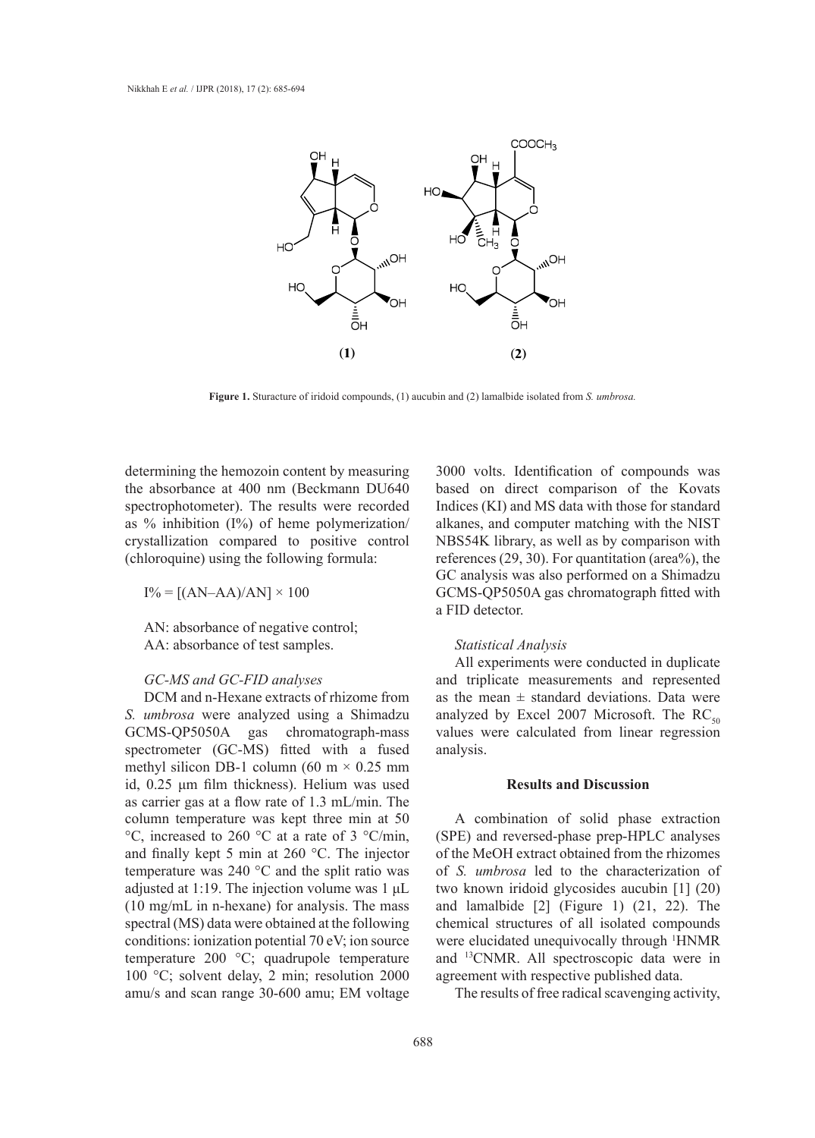

Figure 1. Sturacture of iridoid compounds, (1) aucubin and (2) lamalbide isolated from S. umbrosa.

determining the hemozoin content by measuring 3000 volts. Id the absorbance at 400 nm (Beckmann DU640 spectrophotometer). The results were recorded as % inhibition (I%) of heme polymerization/ crystallization compared to positive control (chloroquine) using the following formula:

 $I\% = [(AN–AA)/AN] \times 100$ 

AN: absorbance of negative control; AA: absorbance of test samples.

# *GC-MS and GC-FID analyses*

DCM and n-Hexane extracts of rhizome from *S. umbrosa* were analyzed using a Shimadzu GCMS-QP5050A gas chromatograph-mass spectrometer (GC-MS) fitted with a fused methyl silicon DB-1 column (60 m  $\times$  0.25 mm id, 0.25 μm film thickness). Helium was used as carrier gas at a flow rate of 1.3 mL/min. The column temperature was kept three min at 50 °C, increased to 260 °C at a rate of 3 °C/min, and finally kept 5 min at 260 °C. The injector temperature was 240 °C and the split ratio was adjusted at 1:19. The injection volume was 1 μL (10 mg/mL in n-hexane) for analysis. The mass spectral (MS) data were obtained at the following conditions: ionization potential 70 eV; ion source temperature 200 °C; quadrupole temperature 100 °C; solvent delay, 2 min; resolution 2000 amu/s and scan range 30-600 amu; EM voltage

3000 volts. Identification of compounds was based on direct comparison of the Kovats Indices (KI) and MS data with those for standard alkanes, and computer matching with the NIST NBS54K library, as well as by comparison with references (29, 30). For quantitation (area%), the GC analysis was also performed on a Shimadzu GCMS-QP5050A gas chromatograph fitted with a FID detector.

## *Statistical Analysis*

All experiments were conducted in duplicate and triplicate measurements and represented as the mean  $\pm$  standard deviations. Data were analyzed by Excel 2007 Microsoft. The  $RC_{50}$ values were calculated from linear regression analysis.

## **Results and Discussion**

A combination of solid phase extraction (SPE) and reversed-phase prep-HPLC analyses of the MeOH extract obtained from the rhizomes of *S. umbrosa* led to the characterization of two known iridoid glycosides aucubin [1] (20) and lamalbide [2] (Figure 1) (21, 22). The chemical structures of all isolated compounds were elucidated unequivocally through <sup>1</sup>HNMR and 13CNMR. All spectroscopic data were in agreement with respective published data.

The results of free radical scavenging activity,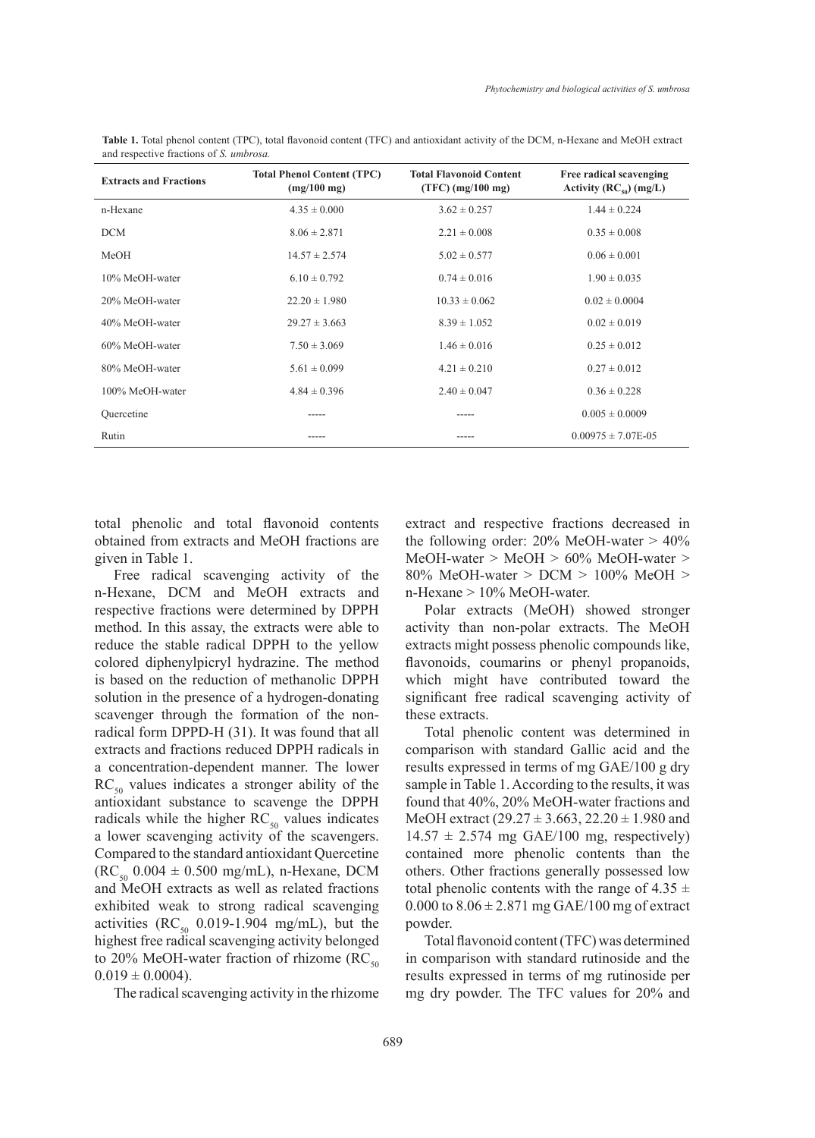| <b>Extracts and Fractions</b> | <b>Total Phenol Content (TPC)</b><br>$(mg/100 \text{ mg})$ | <b>Total Flavonoid Content</b><br>$(TFC)$ (mg/100 mg) | Free radical scavenging<br>Activity $(RC_{50}) (mg/L)$ |
|-------------------------------|------------------------------------------------------------|-------------------------------------------------------|--------------------------------------------------------|
| n-Hexane                      | $4.35 \pm 0.000$                                           | $3.62 \pm 0.257$                                      | $1.44 \pm 0.224$                                       |
| <b>DCM</b>                    | $8.06 \pm 2.871$                                           | $2.21 \pm 0.008$                                      | $0.35 \pm 0.008$                                       |
| MeOH                          | $14.57 \pm 2.574$                                          | $5.02 \pm 0.577$                                      | $0.06 \pm 0.001$                                       |
| 10% MeOH-water                | $6.10 \pm 0.792$                                           | $0.74 \pm 0.016$                                      | $1.90 \pm 0.035$                                       |
| 20% MeOH-water                | $22.20 \pm 1.980$                                          | $10.33 \pm 0.062$                                     | $0.02 \pm 0.0004$                                      |
| 40% MeOH-water                | $29.27 \pm 3.663$                                          | $8.39 \pm 1.052$                                      | $0.02 \pm 0.019$                                       |
| 60% MeOH-water                | $7.50 \pm 3.069$                                           | $1.46 \pm 0.016$                                      | $0.25 \pm 0.012$                                       |
| 80% MeOH-water                | $5.61 \pm 0.099$                                           | $4.21 \pm 0.210$                                      | $0.27 \pm 0.012$                                       |
| 100% MeOH-water               | $4.84 \pm 0.396$                                           | $2.40 \pm 0.047$                                      | $0.36 \pm 0.228$                                       |
| Ouercetine                    | -----                                                      | -----                                                 | $0.005 \pm 0.0009$                                     |
| Rutin                         | -----                                                      | -----                                                 | $0.00975 \pm 7.07E-05$                                 |

**Table 1.** Total phenol content (TPC), total flavonoid content (TFC) and antioxidant activity of the DCM, n-Hexane and MeOH extract and respective fractions of *S. umbrosa.*

total phenolic and total flavonoid contents obtained from extracts and MeOH fractions are given in Table 1.

Free radical scavenging activity of the n-Hexane, DCM and MeOH extracts and respective fractions were determined by DPPH method. In this assay, the extracts were able to reduce the stable radical DPPH to the yellow colored diphenylpicryl hydrazine. The method is based on the reduction of methanolic DPPH solution in the presence of a hydrogen-donating scavenger through the formation of the nonradical form DPPD-H (31). It was found that all extracts and fractions reduced DPPH radicals in a concentration-dependent manner. The lower  $RC<sub>50</sub>$  values indicates a stronger ability of the antioxidant substance to scavenge the DPPH radicals while the higher  $RC_{50}$  values indicates a lower scavenging activity of the scavengers. Compared to the standard antioxidant Quercetine  $(RC_{50} 0.004 \pm 0.500 \text{ mg/mL})$ , n-Hexane, DCM and MeOH extracts as well as related fractions exhibited weak to strong radical scavenging activities ( $RC_{50}$  0.019-1.904 mg/mL), but the highest free radical scavenging activity belonged to 20% MeOH-water fraction of rhizome ( $RC_{50}$  $0.019 \pm 0.0004$ ).

The radical scavenging activity in the rhizome

extract and respective fractions decreased in the following order:  $20\%$  MeOH-water  $> 40\%$ MeOH-water > MeOH > 60% MeOH-water > 80% MeOH-water > DCM > 100% MeOH > n-Hexane > 10% MeOH-water.

Polar extracts (MeOH) showed stronger activity than non-polar extracts. The MeOH extracts might possess phenolic compounds like, flavonoids, coumarins or phenyl propanoids, which might have contributed toward the significant free radical scavenging activity of these extracts.

Total phenolic content was determined in comparison with standard Gallic acid and the results expressed in terms of mg GAE/100 g dry sample in Table 1. According to the results, it was found that 40%, 20% MeOH-water fractions and MeOH extract  $(29.27 \pm 3.663, 22.20 \pm 1.980)$  and  $14.57 \pm 2.574$  mg GAE/100 mg, respectively) contained more phenolic contents than the others. Other fractions generally possessed low total phenolic contents with the range of 4.35  $\pm$ 0.000 to  $8.06 \pm 2.871$  mg GAE/100 mg of extract powder.

Total flavonoid content (TFC) was determined in comparison with standard rutinoside and the results expressed in terms of mg rutinoside per mg dry powder. The TFC values for 20% and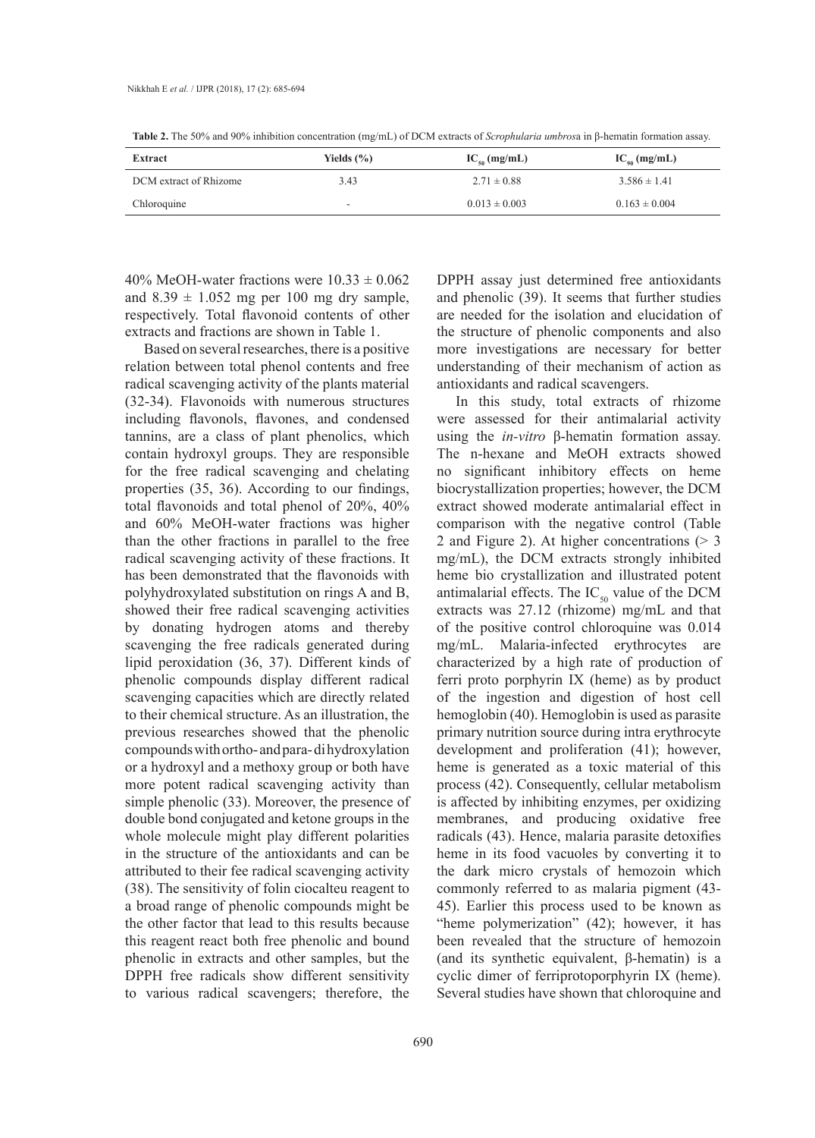| Extract                | Yields $(\% )$ | $IC_{so}$ (mg/mL) | $IC_{\scriptscriptstyle{00}}$ (mg/mL) |
|------------------------|----------------|-------------------|---------------------------------------|
| DCM extract of Rhizome | 3.43           | $2.71 \pm 0.88$   | $3.586 \pm 1.41$                      |
| Chloroquine            |                | $0.013 \pm 0.003$ | $0.163 \pm 0.004$                     |

**Table 2.** The 50% and 90% inhibition concentration (mg/mL) of DCM extracts of *Scrophularia umbros*a in β-hematin formation assay.

40% MeOH-water fractions were  $10.33 \pm 0.062$ and  $8.39 \pm 1.052$  mg per 100 mg dry sample, respectively. Total flavonoid contents of other extracts and fractions are shown in Table 1.

Based on several researches, there is a positive relation between total phenol contents and free radical scavenging activity of the plants material (32-34). Flavonoids with numerous structures including flavonols, flavones, and condensed tannins, are a class of plant phenolics, which contain hydroxyl groups. They are responsible for the free radical scavenging and chelating properties (35, 36). According to our findings, total flavonoids and total phenol of 20%, 40% and 60% MeOH-water fractions was higher than the other fractions in parallel to the free radical scavenging activity of these fractions. It has been demonstrated that the flavonoids with polyhydroxylated substitution on rings A and B, showed their free radical scavenging activities by donating hydrogen atoms and thereby scavenging the free radicals generated during lipid peroxidation (36, 37). Different kinds of phenolic compounds display different radical scavenging capacities which are directly related to their chemical structure. As an illustration, the previous researches showed that the phenolic compounds with ortho- and para- di hydroxylation or a hydroxyl and a methoxy group or both have more potent radical scavenging activity than simple phenolic (33). Moreover, the presence of double bond conjugated and ketone groups in the whole molecule might play different polarities in the structure of the antioxidants and can be attributed to their fee radical scavenging activity (38). The sensitivity of folin ciocalteu reagent to a broad range of phenolic compounds might be the other factor that lead to this results because this reagent react both free phenolic and bound phenolic in extracts and other samples, but the DPPH free radicals show different sensitivity to various radical scavengers; therefore, the

DPPH assay just determined free antioxidants and phenolic (39). It seems that further studies are needed for the isolation and elucidation of the structure of phenolic components and also more investigations are necessary for better understanding of their mechanism of action as antioxidants and radical scavengers.

In this study, total extracts of rhizome were assessed for their antimalarial activity using the *in-vitro* β-hematin formation assay. The n-hexane and MeOH extracts showed no significant inhibitory effects on heme biocrystallization properties; however, the DCM extract showed moderate antimalarial effect in comparison with the negative control (Table 2 and Figure 2). At higher concentrations (> 3 mg/mL), the DCM extracts strongly inhibited heme bio crystallization and illustrated potent antimalarial effects. The  $IC_{50}$  value of the DCM extracts was 27.12 (rhizome) mg/mL and that of the positive control chloroquine was 0.014 mg/mL. Malaria-infected erythrocytes are characterized by a high rate of production of ferri proto porphyrin IX (heme) as by product of the ingestion and digestion of host cell hemoglobin (40). Hemoglobin is used as parasite primary nutrition source during intra erythrocyte development and proliferation (41); however, heme is generated as a toxic material of this process (42). Consequently, cellular metabolism is affected by inhibiting enzymes, per oxidizing membranes, and producing oxidative free radicals (43). Hence, malaria parasite detoxifies heme in its food vacuoles by converting it to the dark micro crystals of hemozoin which commonly referred to as malaria pigment (43- 45). Earlier this process used to be known as "heme polymerization" (42); however, it has been revealed that the structure of hemozoin (and its synthetic equivalent, β-hematin) is a cyclic dimer of ferriprotoporphyrin IX (heme). Several studies have shown that chloroquine and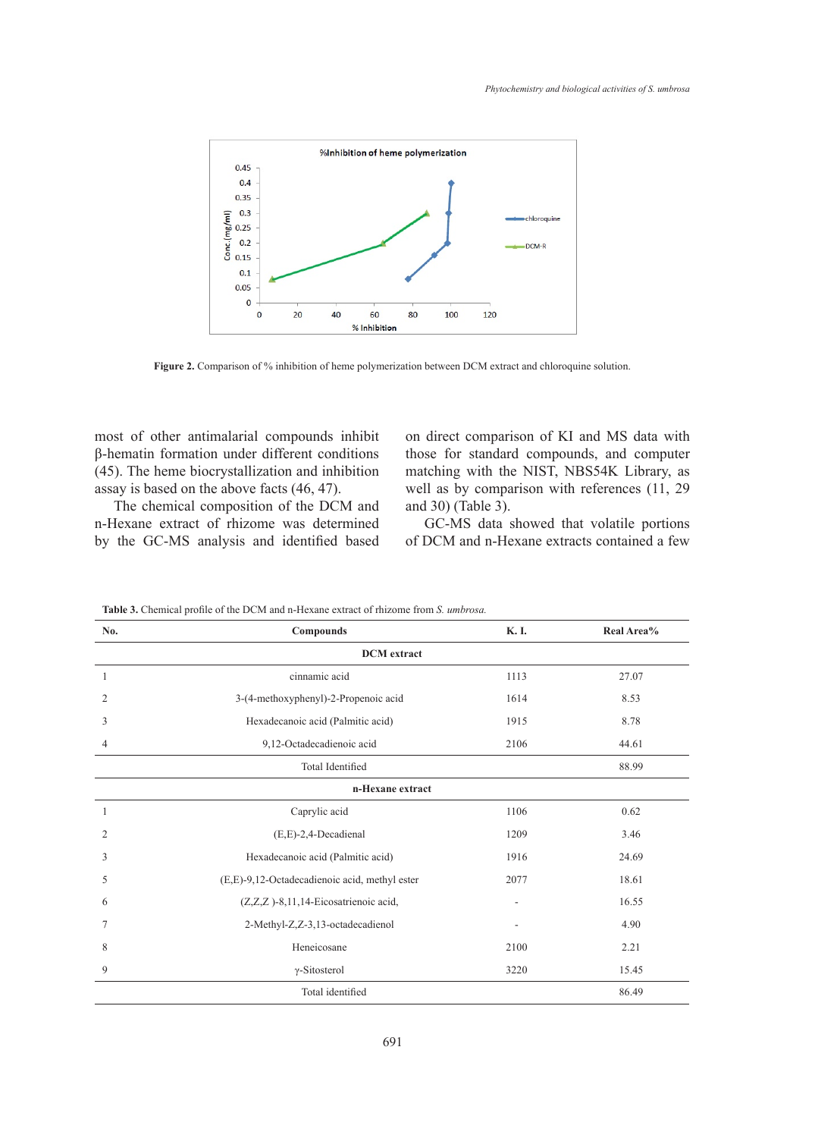

**Figure 2.** Comparison of % inhibition of heme polymerization between DCM extract and chloroquine solution.

most of other antimalarial compounds inhibit on direct comparison of KI and β-hematin formation under different conditions  $(45)$ . The heme biocrystallization and inhibition ma assay is based on the above facts (46, 47).

The chemical composition of the DCM and n-Hexane extract of rhizome was determined by the GC-MS analysis and identified based

on direct comparison of KI and MS data with ation under different conditions those for standard compounds, and computer matching with the NIST, NBS54K Library, as well as by comparison with references (11, 29 and 30) (Table 3).

> GC-MS data showed that volatile portions of DCM and n-Hexane extracts contained a few

| No.                | Compounds                                     | K.I. | Real Area% |
|--------------------|-----------------------------------------------|------|------------|
| <b>DCM</b> extract |                                               |      |            |
| 1                  | cinnamic acid                                 | 1113 | 27.07      |
| 2                  | 3-(4-methoxyphenyl)-2-Propenoic acid          | 1614 | 8.53       |
| 3                  | Hexadecanoic acid (Palmitic acid)             | 1915 | 8.78       |
| $\overline{4}$     | 9,12-Octadecadienoic acid                     | 2106 | 44.61      |
|                    | <b>Total Identified</b>                       |      | 88.99      |
| n-Hexane extract   |                                               |      |            |
| 1                  | Caprylic acid                                 | 1106 | 0.62       |
| 2                  | $(E,E)-2,4$ -Decadienal                       | 1209 | 3.46       |
| 3                  | Hexadecanoic acid (Palmitic acid)             | 1916 | 24.69      |
| 5                  | (E,E)-9,12-Octadecadienoic acid, methyl ester | 2077 | 18.61      |
| 6                  | (Z,Z,Z)-8,11,14-Eicosatrienoic acid,          |      | 16.55      |
| 7                  | 2-Methyl-Z,Z-3,13-octadecadienol              | ٠    | 4.90       |
| 8                  | Heneicosane                                   | 2100 | 2.21       |
| 9                  | $\gamma$ -Sitosterol                          | 3220 | 15.45      |
|                    | Total identified                              |      | 86.49      |

**Table 3.** Chemical profile of the DCM and n-Hexane extract of rhizome from *S. umbrosa.*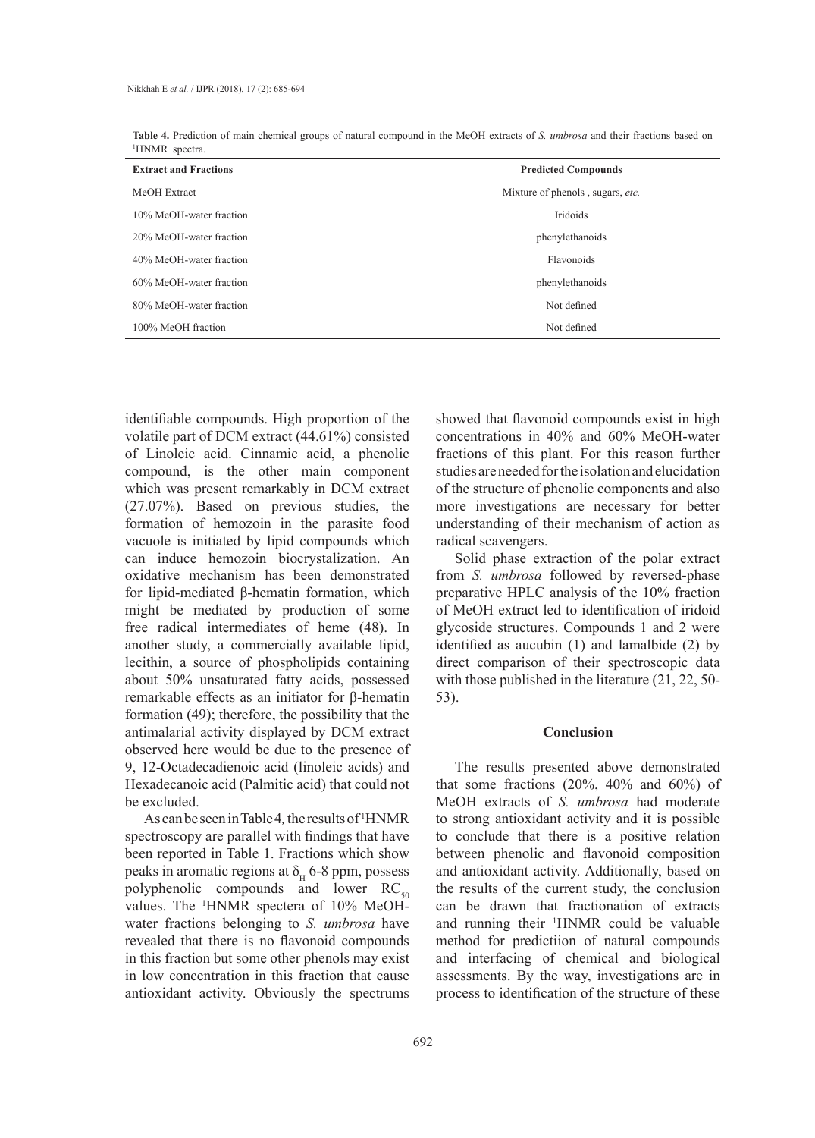|                            | <b>Table 4.</b> Prediction of main chemical groups of natural compound in the MeOH extracts of S. umbrosa and their fractions based on |
|----------------------------|----------------------------------------------------------------------------------------------------------------------------------------|
| <sup>1</sup> HNMR spectra. |                                                                                                                                        |

| <b>Extract and Fractions</b> | <b>Predicted Compounds</b>       |
|------------------------------|----------------------------------|
| MeOH Extract                 | Mixture of phenols, sugars, etc. |
| 10% MeOH-water fraction      | Iridoids                         |
| 20% MeOH-water fraction      | phenylethanoids                  |
| 40% MeOH-water fraction      | <b>Flavonoids</b>                |
| 60% MeOH-water fraction      | phenylethanoids                  |
| 80% MeOH-water fraction      | Not defined                      |
| 100% MeOH fraction           | Not defined                      |

identifiable compounds. High proportion of the volatile part of DCM extract (44.61%) consisted of Linoleic acid. Cinnamic acid, a phenolic compound, is the other main component which was present remarkably in DCM extract (27.07%). Based on previous studies, the formation of hemozoin in the parasite food vacuole is initiated by lipid compounds which can induce hemozoin biocrystalization. An oxidative mechanism has been demonstrated for lipid-mediated β-hematin formation, which might be mediated by production of some free radical intermediates of heme (48). In another study, a commercially available lipid, lecithin, a source of phospholipids containing about 50% unsaturated fatty acids, possessed remarkable effects as an initiator for β-hematin formation (49); therefore, the possibility that the antimalarial activity displayed by DCM extract observed here would be due to the presence of 9, 12-Octadecadienoic acid (linoleic acids) and Hexadecanoic acid (Palmitic acid) that could not be excluded.

As can be seen in Table 4*,* the results of 1 HNMR spectroscopy are parallel with findings that have been reported in Table 1. Fractions which show peaks in aromatic regions at  $\delta_{\rm H}$  6-8 ppm, possess polyphenolic compounds and lower  $RC_{50}$ values. The 1 HNMR spectera of 10% MeOHwater fractions belonging to *S. umbrosa* have revealed that there is no flavonoid compounds in this fraction but some other phenols may exist in low concentration in this fraction that cause antioxidant activity. Obviously the spectrums

showed that flavonoid compounds exist in high concentrations in 40% and 60% MeOH-water fractions of this plant. For this reason further studies are needed for the isolation and elucidation of the structure of phenolic components and also more investigations are necessary for better understanding of their mechanism of action as radical scavengers.

Solid phase extraction of the polar extract from *S. umbrosa* followed by reversed-phase preparative HPLC analysis of the 10% fraction of MeOH extract led to identification of iridoid glycoside structures. Compounds 1 and 2 were identified as aucubin (1) and lamalbide (2) by direct comparison of their spectroscopic data with those published in the literature (21, 22, 50- 53).

### **Conclusion**

The results presented above demonstrated that some fractions  $(20\%, 40\%$  and  $60\%)$  of MeOH extracts of *S. umbrosa* had moderate to strong antioxidant activity and it is possible to conclude that there is a positive relation between phenolic and flavonoid composition and antioxidant activity. Additionally, based on the results of the current study, the conclusion can be drawn that fractionation of extracts and running their 1 HNMR could be valuable method for predictiion of natural compounds and interfacing of chemical and biological assessments. By the way, investigations are in process to identification of the structure of these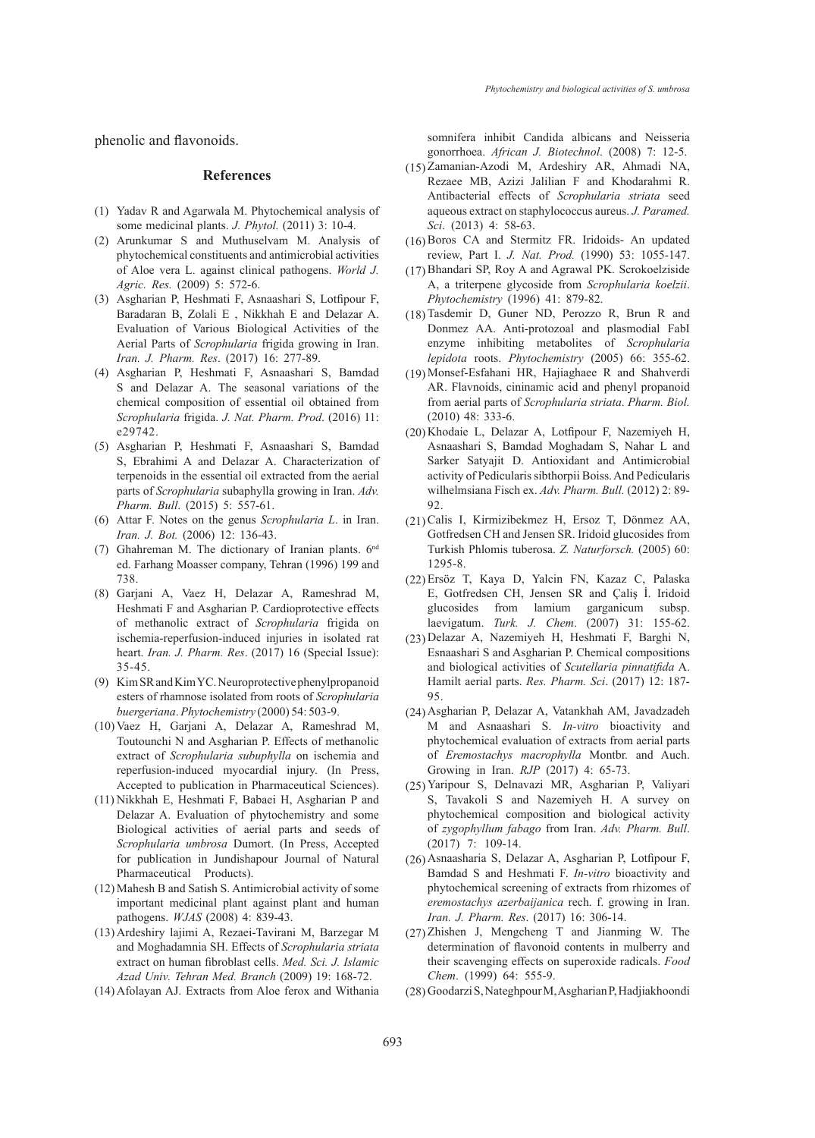phenolic and flavonoids.

#### **References**

- (1) Yadav R and Agarwala M. Phytochemical analysis of some medicinal plants. *J. Phytol.* (2011) 3: 10-4.
- (2) Arunkumar S and Muthuselvam M. Analysis of phytochemical constituents and antimicrobial activities of Aloe vera L. against clinical pathogens. *World J. Agric. Res.* (2009) 5: 572-6.
- Asgharian P, Heshmati F, Asnaashari S, Lotfipour F, (3) Baradaran B, Zolali E , Nikkhah E and Delazar A. Evaluation of Various Biological Activities of the Aerial Parts of *Scrophularia* frigida growing in Iran. *Iran. J. Pharm. Res*. (2017) 16: 277-89.
- Asgharian P, Heshmati F, Asnaashari S, Bamdad (4) S and Delazar A. The seasonal variations of the chemical composition of essential oil obtained from *Scrophularia* frigida. *J. Nat. Pharm. Prod*. (2016) 11: e29742.
- Asgharian P, Heshmati F, Asnaashari S, Bamdad (5) S, Ebrahimi A and Delazar A. Characterization of terpenoids in the essential oil extracted from the aerial parts of *Scrophularia* subaphylla growing in Iran. *Adv. Pharm. Bull*. (2015) 5: 557-61.
- Attar F. Notes on the genus *Scrophularia L*. in Iran. (6) *Iran. J. Bot.* (2006) 12: 136-43.
- (7) Ghahreman M. The dictionary of Iranian plants.  $6<sup>nd</sup>$ ed. Farhang Moasser company, Tehran (1996) 199 and 738.
- Garjani A, Vaez H, Delazar A, Rameshrad M, (8) Heshmati F and Asgharian P. Cardioprotective effects of methanolic extract of *Scrophularia* frigida on ischemia-reperfusion-induced injuries in isolated rat heart. *Iran. J. Pharm. Res*. (2017) 16 (Special Issue): 35-45.
- (9) Kim SR and Kim YC. Neuroprotective phenylpropanoid esters of rhamnose isolated from roots of *Scrophularia buergeriana*. *Phytochemistry* (2000) 54: 503-9.
- (10) Vaez H, Garjani A, Delazar A, Rameshrad M, Toutounchi N and Asgharian P. Effects of methanolic extract of *Scrophularia subuphylla* on ischemia and reperfusion-induced myocardial injury. (In Press, Accepted to publication in Pharmaceutical Sciences).
- (11) Nikkhah E, Heshmati F, Babaei H, Asgharian P and Delazar A. Evaluation of phytochemistry and some Biological activities of aerial parts and seeds of *Scrophularia umbrosa* Dumort. (In Press, Accepted for publication in Jundishapour Journal of Natural Pharmaceutical Products).
- Mahesh B and Satish S. Antimicrobial activity of some (12) important medicinal plant against plant and human pathogens. *WJAS* (2008) 4: 839-43.
- (13) Ardeshiry lajimi A, Rezaei-Tavirani M, Barzegar M and Moghadamnia SH. Effects of *Scrophularia striata* extract on human fibroblast cells. *Med. Sci. J. Islamic Azad Univ. Tehran Med. Branch* (2009) 19: 168-72.
- (14) Afolayan AJ. Extracts from Aloe ferox and Withania

somnifera inhibit Candida albicans and Neisseria gonorrhoea. *African J. Biotechnol*. (2008) 7: 12-5.

- (15) Zamanian-Azodi M, Ardeshiry AR, Ahmadi NA, Rezaee MB, Azizi Jalilian F and Khodarahmi R. Antibacterial effects of *Scrophularia striata* seed aqueous extract on staphylococcus aureus. *J. Paramed. Sci*. (2013) 4: 58-63.
- $(16)$  Boros CA and Stermitz FR. Iridoids- An updated review, Part I. *J. Nat. Prod.* (1990) 53: 1055-147.
- (17) Bhandari SP, Roy A and Agrawal PK. Scrokoelziside A, a triterpene glycoside from *Scrophularia koelzii*. *Phytochemistry* (1996) 41: 879-82.
- $(18)$  Tasdemir D, Guner ND, Perozzo R, Brun R and Donmez AA. Anti-protozoal and plasmodial FabI enzyme inhibiting metabolites of *Scrophularia lepidota* roots. *Phytochemistry* (2005) 66: 355-62.
- (19) Monsef-Esfahani HR, Hajiaghaee R and Shahverdi AR. Flavnoids, cininamic acid and phenyl propanoid from aerial parts of *Scrophularia striata*. *Pharm. Biol.* (2010) 48: 333-6.
- (20) Khodaie L, Delazar A, Lotfipour F, Nazemiyeh H, Asnaashari S, Bamdad Moghadam S, Nahar L and Sarker Satyajit D. Antioxidant and Antimicrobial activity of Pedicularis sibthorpii Boiss. And Pedicularis wilhelmsiana Fisch ex. *Adv. Pharm. Bull.* (2012) 2: 89- 92.
- (21) Calis I, Kirmizibekmez H, Ersoz T, Dönmez AA, Gotfredsen CH and Jensen SR. Iridoid glucosides from Turkish Phlomis tuberosa. *Z. Naturforsch.* (2005) 60: 1295-8.
- Ersöz T, Kaya D, Yalcin FN, Kazaz C, Palaska (22) E, Gotfredsen CH, Jensen SR and Çaliş İ. Iridoid glucosides from lamium garganicum subsp. laevigatum. *Turk. J. Chem*. (2007) 31: 155-62.
- Delazar A, Nazemiyeh H, Heshmati F, Barghi N, (23) Esnaashari S and Asgharian P. Chemical compositions and biological activities of *Scutellaria pinnatifida* A. Hamilt aerial parts. *Res. Pharm. Sci*. (2017) 12: 187- 95.
- Asgharian P, Delazar A, Vatankhah AM, Javadzadeh (24) M and Asnaashari S. *In-vitro* bioactivity and phytochemical evaluation of extracts from aerial parts of *Eremostachys macrophylla* Montbr. and Auch. Growing in Iran. *RJP* (2017) 4: 65-73.
- (25) Yaripour S, Delnavazi MR, Asgharian P, Valiyari S, Tavakoli S and Nazemiyeh H. A survey on phytochemical composition and biological activity of *zygophyllum fabago* from Iran. *Adv. Pharm. Bull*. (2017) 7: 109-14.
- (26) Asnaasharia S, Delazar A, Asgharian P, Lotfipour F, Bamdad S and Heshmati F. *In-vitro* bioactivity and phytochemical screening of extracts from rhizomes of *eremostachys azerbaijanica* rech. f. growing in Iran. *Iran. J. Pharm. Res*. (2017) 16: 306-14.
- $(27)$  Zhishen J, Mengcheng T and Jianming W. The determination of flavonoid contents in mulberry and their scavenging effects on superoxide radicals. *Food Chem*. (1999) 64: 555-9.
- (28) Goodarzi S, Nateghpour M, Asgharian P, Hadjiakhoondi